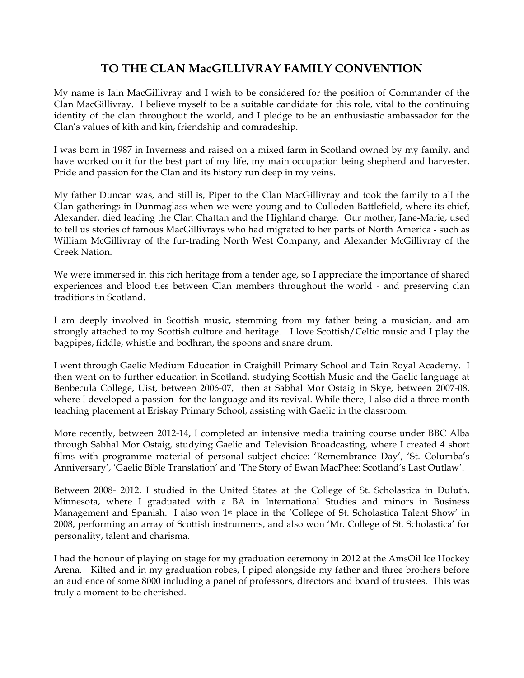## **TO THE CLAN MacGILLIVRAY FAMILY CONVENTION**

My name is Iain MacGillivray and I wish to be considered for the position of Commander of the Clan MacGillivray. I believe myself to be a suitable candidate for this role, vital to the continuing identity of the clan throughout the world, and I pledge to be an enthusiastic ambassador for the Clan's values of kith and kin, friendship and comradeship.

I was born in 1987 in Inverness and raised on a mixed farm in Scotland owned by my family, and have worked on it for the best part of my life, my main occupation being shepherd and harvester. Pride and passion for the Clan and its history run deep in my veins.

My father Duncan was, and still is, Piper to the Clan MacGillivray and took the family to all the Clan gatherings in Dunmaglass when we were young and to Culloden Battlefield, where its chief, Alexander, died leading the Clan Chattan and the Highland charge. Our mother, Jane-Marie, used to tell us stories of famous MacGillivrays who had migrated to her parts of North America - such as William McGillivray of the fur-trading North West Company, and Alexander McGillivray of the Creek Nation.

We were immersed in this rich heritage from a tender age, so I appreciate the importance of shared experiences and blood ties between Clan members throughout the world - and preserving clan traditions in Scotland.

I am deeply involved in Scottish music, stemming from my father being a musician, and am strongly attached to my Scottish culture and heritage. I love Scottish/Celtic music and I play the bagpipes, fiddle, whistle and bodhran, the spoons and snare drum.

I went through Gaelic Medium Education in Craighill Primary School and Tain Royal Academy. I then went on to further education in Scotland, studying Scottish Music and the Gaelic language at Benbecula College, Uist, between 2006-07, then at Sabhal Mor Ostaig in Skye, between 2007-08, where I developed a passion for the language and its revival. While there, I also did a three-month teaching placement at Eriskay Primary School, assisting with Gaelic in the classroom.

More recently, between 2012-14, I completed an intensive media training course under BBC Alba through Sabhal Mor Ostaig, studying Gaelic and Television Broadcasting, where I created 4 short films with programme material of personal subject choice: 'Remembrance Day', 'St. Columba's Anniversary', 'Gaelic Bible Translation' and 'The Story of Ewan MacPhee: Scotland's Last Outlaw'.

Between 2008- 2012, I studied in the United States at the College of St. Scholastica in Duluth, Minnesota, where I graduated with a BA in International Studies and minors in Business Management and Spanish. I also won 1<sup>st</sup> place in the 'College of St. Scholastica Talent Show' in 2008, performing an array of Scottish instruments, and also won 'Mr. College of St. Scholastica' for personality, talent and charisma.

I had the honour of playing on stage for my graduation ceremony in 2012 at the AmsOil Ice Hockey Arena. Kilted and in my graduation robes, I piped alongside my father and three brothers before an audience of some 8000 including a panel of professors, directors and board of trustees. This was truly a moment to be cherished.